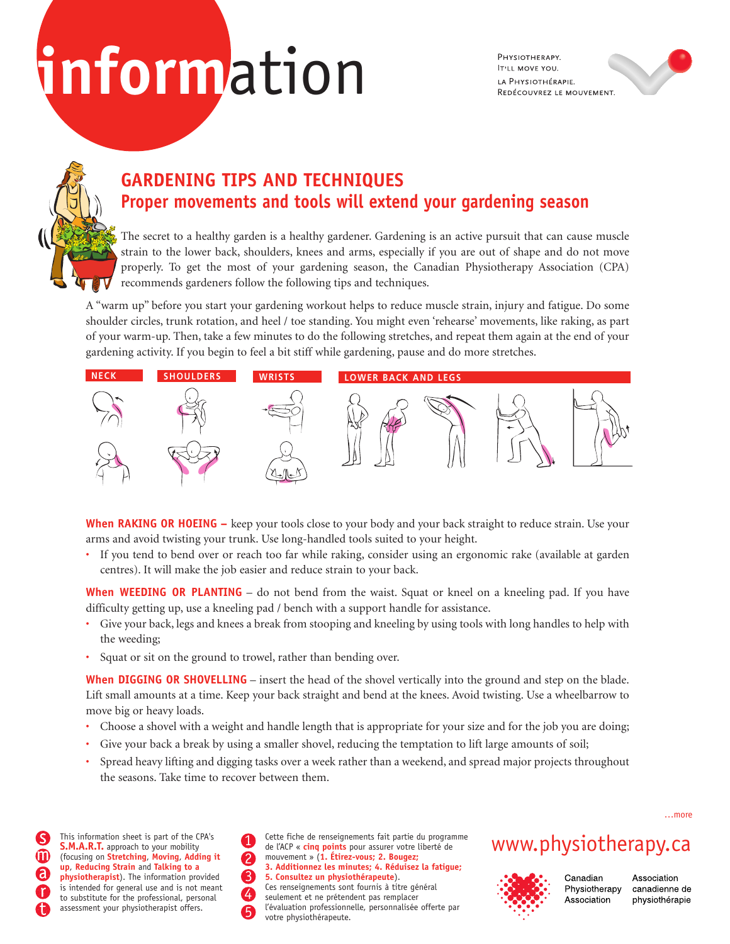# **inform**ation

PHYSIOTHERAPY. **IT'LL MOVE YOU.** LA PHYSIOTHÉRAPIE. REDÉCOUVREZ LE MOUVEMENT.



## **GARDENING TIPS AND TECHNIQUES Proper movements and tools will extend your gardening season**

The secret to a healthy garden is a healthy gardener. Gardening is an active pursuit that can cause muscle strain to the lower back, shoulders, knees and arms, especially if you are out of shape and do not move properly. To get the most of your gardening season, the Canadian Physiotherapy Association (CPA) recommends gardeners follow the following tips and techniques.

A "warm up" before you start your gardening workout helps to reduce muscle strain, injury and fatigue. Do some shoulder circles, trunk rotation, and heel / toe standing. You might even 'rehearse' movements, like raking, as part of your warm-up. Then, take a few minutes to do the following stretches, and repeat them again at the end of your gardening activity. If you begin to feel a bit stiff while gardening, pause and do more stretches.



**When RAKING OR HOEING –** keep your tools close to your body and your back straight to reduce strain. Use your arms and avoid twisting your trunk. Use long-handled tools suited to your height.

• If you tend to bend over or reach too far while raking, consider using an ergonomic rake (available at garden centres). It will make the job easier and reduce strain to your back.

**When WEEDING OR PLANTING** – do not bend from the waist. Squat or kneel on a kneeling pad. If you have difficulty getting up, use a kneeling pad / bench with a support handle for assistance.

- Give your back, legs and knees a break from stooping and kneeling by using tools with long handles to help with the weeding;
- Squat or sit on the ground to trowel, rather than bending over.

**When DIGGING OR SHOVELLING** – insert the head of the shovel vertically into the ground and step on the blade. Lift small amounts at a time. Keep your back straight and bend at the knees. Avoid twisting. Use a wheelbarrow to move big or heavy loads.

- Choose a shovel with a weight and handle length that is appropriate for your size and for the job you are doing;
- Give your back a break by using a smaller shovel, reducing the temptation to lift large amounts of soil;
- Spread heavy lifting and digging tasks over a week rather than a weekend, and spread major projects throughout the seasons. Take time to recover between them.

**S.M.A.R.T.** approach to your mobility (focusing on **Stretching**, **Moving**, **Adding it up**, **Reducing Strain** and **Talking to a physiotherapist**). The information provided is intended for general use and is not meant to substitute for the professional, personal assessment your physiotherapist offers.

This information sheet is part of the CPA's<br>
S.M.A.R.T. approach to your mobility de l'ACP « cinq points pour assurer votre liberté de WWW. physiotherapy. Ca Cette fiche de renseignements fait partie du programme de l'ACP « **cinq points** pour assurer votre liberté de mouvement » (**1. Étirez-vous; 2. Bougez; 3. Additionnez les minutes; 4. Réduisez la fatigue; 5. Consultez un physiothérapeute**). Ces renseignements sont fournis à titre général seulement et ne prétendent pas remplacer l'évaluation professionnelle, personnalisée offerte par votre physiothérapeute.



Canadian Physiotherapy Association

Association canadienne de physiothérapie

…more